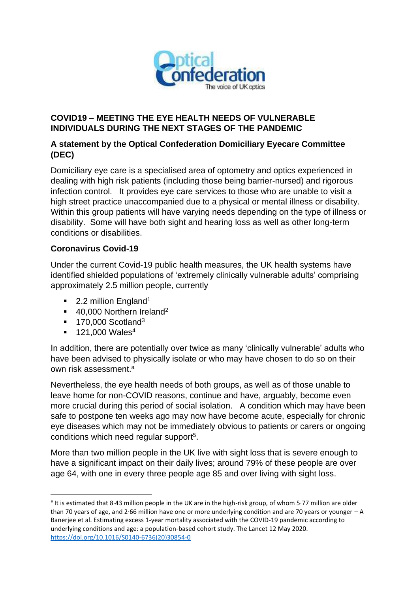

### **COVID19 – MEETING THE EYE HEALTH NEEDS OF VULNERABLE INDIVIDUALS DURING THE NEXT STAGES OF THE PANDEMIC**

# **A statement by the Optical Confederation Domiciliary Eyecare Committee (DEC)**

Domiciliary eye care is a specialised area of optometry and optics experienced in dealing with high risk patients (including those being barrier-nursed) and rigorous infection control. It provides eye care services to those who are unable to visit a high street practice unaccompanied due to a physical or mental illness or disability. Within this group patients will have varying needs depending on the type of illness or disability. Some will have both sight and hearing loss as well as other long-term conditions or disabilities.

#### **Coronavirus Covid-19**

Under the current Covid-19 public health measures, the UK health systems have identified shielded populations of 'extremely clinically vulnerable adults' comprising approximately 2.5 million people, currently

- 2.2 million England<sup>1</sup>
- 40,000 Northern Ireland<sup>2</sup>
- $\blacksquare$  170,000 Scotland<sup>3</sup>
- $\blacksquare$  121,000 Wales<sup>4</sup>

In addition, there are potentially over twice as many 'clinically vulnerable' adults who have been advised to physically isolate or who may have chosen to do so on their own risk assessment.<sup>a</sup>

Nevertheless, the eye health needs of both groups, as well as of those unable to leave home for non-COVID reasons, continue and have, arguably, become even more crucial during this period of social isolation. A condition which may have been safe to postpone ten weeks ago may now have become acute, especially for chronic eye diseases which may not be immediately obvious to patients or carers or ongoing conditions which need regular support<sup>5</sup>.

More than two million people in the UK live with sight loss that is severe enough to have a significant impact on their daily lives; around 79% of these people are over age 64, with one in every three people age 85 and over living with sight loss.

<sup>&</sup>lt;sup>a</sup> It is estimated that 8.43 million people in the UK are in the high-risk group, of whom 5.77 million are older than 70 years of age, and 2·66 million have one or more underlying condition and are 70 years or younger – A Banerjee et al. Estimating excess 1-year mortality associated with the COVID-19 pandemic according to underlying conditions and age: a population-based cohort study. The Lancet 12 May 2020. [https://doi.org/10.1016/S0140-6736\(20\)30854-0](https://doi.org/10.1016/S0140-6736(20)30854-0)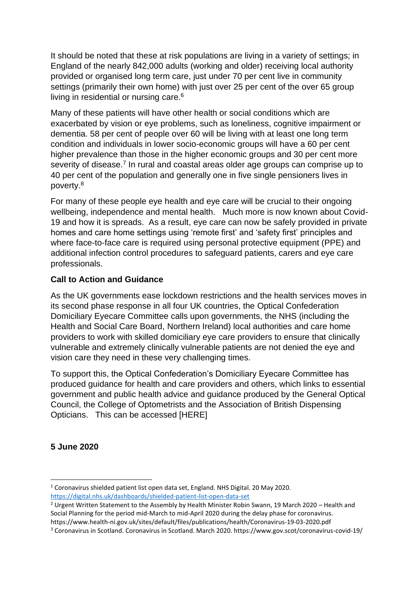It should be noted that these at risk populations are living in a variety of settings; in England of the nearly 842,000 adults (working and older) receiving local authority provided or organised long term care, just under 70 per cent live in community settings (primarily their own home) with just over 25 per cent of the over 65 group living in residential or nursing care.<sup>6</sup>

Many of these patients will have other health or social conditions which are exacerbated by vision or eye problems, such as loneliness, cognitive impairment or dementia. 58 per cent of people over 60 will be living with at least one long term condition and individuals in lower socio-economic groups will have a 60 per cent higher prevalence than those in the higher economic groups and 30 per cent more severity of disease.<sup>7</sup> In rural and coastal areas older age groups can comprise up to 40 per cent of the population and generally one in five single pensioners lives in poverty.<sup>8</sup>

For many of these people eye health and eye care will be crucial to their ongoing wellbeing, independence and mental health. Much more is now known about Covid-19 and how it is spreads. As a result, eye care can now be safely provided in private homes and care home settings using 'remote first' and 'safety first' principles and where face-to-face care is required using personal protective equipment (PPE) and additional infection control procedures to safeguard patients, carers and eye care professionals.

# **Call to Action and Guidance**

As the UK governments ease lockdown restrictions and the health services moves in its second phase response in all four UK countries, the Optical Confederation Domiciliary Eyecare Committee calls upon governments, the NHS (including the Health and Social Care Board, Northern Ireland) local authorities and care home providers to work with skilled domiciliary eye care providers to ensure that clinically vulnerable and extremely clinically vulnerable patients are not denied the eye and vision care they need in these very challenging times.

To support this, the Optical Confederation's Domiciliary Eyecare Committee has produced guidance for health and care providers and others, which links to essential government and public health advice and guidance produced by the General Optical Council, the College of Optometrists and the Association of British Dispensing Opticians. This can be accessed [HERE]

#### **5 June 2020**

<sup>1</sup> Coronavirus shielded patient list open data set, England. NHS Digital. 20 May 2020. <https://digital.nhs.uk/dashboards/shielded-patient-list-open-data-set>

<sup>&</sup>lt;sup>2</sup> Urgent Written Statement to the Assembly by Health Minister Robin Swann, 19 March 2020 – Health and Social Planning for the period mid-March to mid-April 2020 during the delay phase for coronavirus. https://www.health-ni.gov.uk/sites/default/files/publications/health/Coronavirus-19-03-2020.pdf

<sup>3</sup> Coronavirus in Scotland. Coronavirus in Scotland. March 2020. https://www.gov.scot/coronavirus-covid-19/